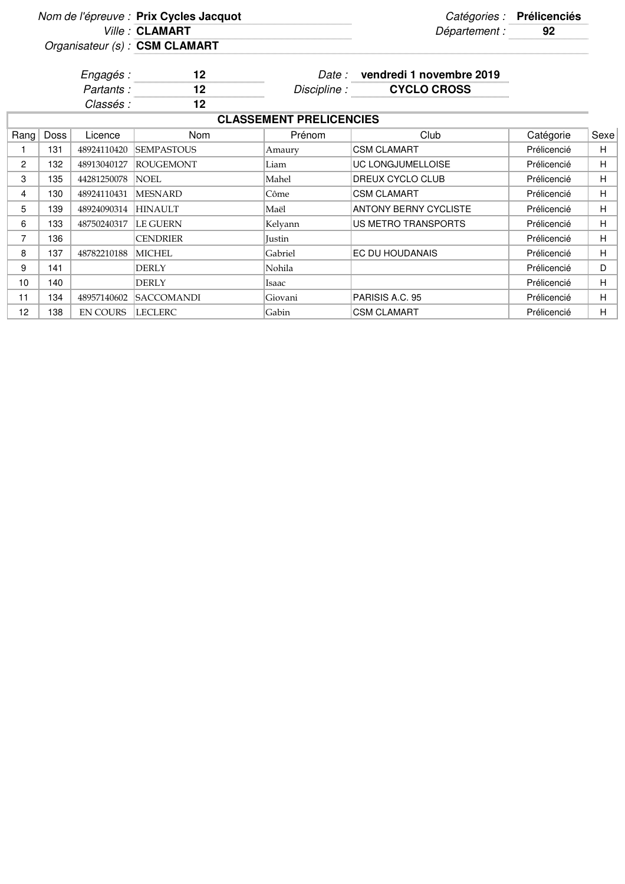|                |      |                 | Nom de l'épreuve : Prix Cycles Jacquot |                                |                                | Catégories : Prélicenciés |      |
|----------------|------|-----------------|----------------------------------------|--------------------------------|--------------------------------|---------------------------|------|
|                |      |                 | Ville: CLAMART                         |                                | Département :                  | 92                        |      |
|                |      |                 | Organisateur (s) : CSM CLAMART         |                                |                                |                           |      |
|                |      | Engagés :       | 12                                     |                                | Date: vendredi 1 novembre 2019 |                           |      |
|                |      | Partants:       | 12                                     |                                | Discipline : CYCLO CROSS       |                           |      |
|                |      | Classés :       | $12 \,$                                |                                |                                |                           |      |
|                |      |                 |                                        | <b>CLASSEMENT PRELICENCIES</b> |                                |                           |      |
| Rang           | Doss | Licence         | Nom                                    | Prénom                         | Club                           | Catégorie                 | Sexe |
| 1              | 131  | 48924110420     | <b>SEMPASTOUS</b>                      | Amaury                         | <b>CSM CLAMART</b>             | Prélicencié               | H    |
| $\overline{2}$ | 132  | 48913040127     | <b>ROUGEMONT</b>                       | Liam                           | UC LONGJUMELLOISE              | Prélicencié               | H.   |
| 3              | 135  | 44281250078     | <b>NOEL</b>                            | Mahel                          | DREUX CYCLO CLUB               | Prélicencié               | H.   |
| 4              | 130  | 48924110431     | <b>MESNARD</b>                         | Côme                           | <b>CSM CLAMART</b>             | Prélicencié               | H    |
| 5              | 139  | 48924090314     | <b>HINAULT</b>                         | Maël                           | <b>ANTONY BERNY CYCLISTE</b>   | Prélicencié               | H.   |
| 6              | 133  | 48750240317     | <b>LE GUERN</b>                        | Kelyann                        | <b>US METRO TRANSPORTS</b>     | Prélicencié               | н    |
| $\overline{7}$ | 136  |                 | <b>CENDRIER</b>                        | <b>Justin</b>                  |                                | Prélicencié               | H.   |
| 8              | 137  | 48782210188     | <b>MICHEL</b>                          | Gabriel                        | EC DU HOUDANAIS                | Prélicencié               | H    |
| 9              | 141  |                 | DERLY                                  | Nohila                         |                                | Prélicencié               | D    |
| 10             | 140  |                 | <b>DERLY</b>                           | Isaac                          |                                | Prélicencié               | H.   |
| 11             | 134  | 48957140602     | <b>SACCOMANDI</b>                      | Giovani                        | PARISIS A.C. 95                | Prélicencié               | H    |
| 12             | 138  | <b>EN COURS</b> | <b>LECLERC</b>                         | Gabin                          | <b>CSM CLAMART</b>             | Prélicencié               | H.   |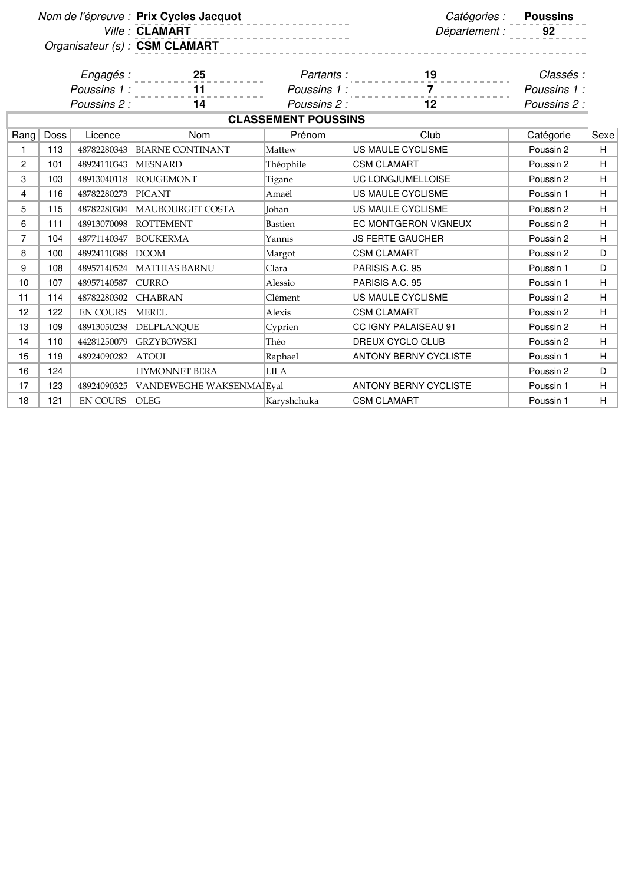|                |      |                 | Nom de l'épreuve : Prix Cycles Jacquot |                            | Catégories :                 | <b>Poussins</b> |      |
|----------------|------|-----------------|----------------------------------------|----------------------------|------------------------------|-----------------|------|
|                |      |                 | Ville: CLAMART                         |                            | Département :                | 92              |      |
|                |      |                 | Organisateur (s) : CSM CLAMART         |                            |                              |                 |      |
|                |      | Engagés :       | 25                                     | Partants:                  | 19                           | Classés :       |      |
|                |      | Poussins 1:     | 11                                     | Poussins 1 :               | $\overline{7}$               | Poussins 1 :    |      |
|                |      | Poussins 2:     | 14                                     | Poussins 2 :               | 12                           | Poussins 2 :    |      |
|                |      |                 |                                        | <b>CLASSEMENT POUSSINS</b> |                              |                 |      |
| Rang           | Doss | Licence         | Nom                                    | Prénom                     | Club                         | Catégorie       | Sexe |
| 1              | 113  | 48782280343     | <b>BIARNE CONTINANT</b>                | Mattew                     | <b>US MAULE CYCLISME</b>     | Poussin 2       | H    |
| 2              | 101  | 48924110343     | <b>MESNARD</b>                         | Théophile                  | <b>CSM CLAMART</b>           | Poussin 2       | H    |
| 3              | 103  | 48913040118     | <b>ROUGEMONT</b>                       | Tigane                     | UC LONGJUMELLOISE            | Poussin 2       | H    |
| $\overline{4}$ | 116  | 48782280273     | <b>PICANT</b>                          | Amaël                      | <b>US MAULE CYCLISME</b>     | Poussin 1       | H    |
| 5              | 115  | 48782280304     | MAUBOURGET COSTA                       | Johan                      | US MAULE CYCLISME            | Poussin 2       | H    |
| 6              | 111  | 48913070098     | <b>ROTTEMENT</b>                       | <b>Bastien</b>             | EC MONTGERON VIGNEUX         | Poussin 2       | H    |
| $\overline{7}$ | 104  | 48771140347     | <b>BOUKERMA</b>                        | Yannis                     | <b>JS FERTE GAUCHER</b>      | Poussin 2       | H    |
| 8              | 100  | 48924110388     | DOOM                                   | Margot                     | <b>CSM CLAMART</b>           | Poussin 2       | D    |
| 9              | 108  | 48957140524     | MATHIAS BARNU                          | Clara                      | PARISIS A.C. 95              | Poussin 1       | D    |
| 10             | 107  | 48957140587     | <b>CURRO</b>                           | Alessio                    | PARISIS A.C. 95              | Poussin 1       | H    |
| 11             | 114  | 48782280302     | <b>CHABRAN</b>                         | Clément                    | US MAULE CYCLISME            | Poussin 2       | H    |
| 12             | 122  | <b>EN COURS</b> | <b>MEREL</b>                           | Alexis                     | <b>CSM CLAMART</b>           | Poussin 2       | H    |
| 13             | 109  | 48913050238     | DELPLANQUE                             | Cyprien                    | CC IGNY PALAISEAU 91         | Poussin 2       | H    |
| 14             | 110  | 44281250079     | <b>GRZYBOWSKI</b>                      | Théo                       | DREUX CYCLO CLUB             | Poussin 2       | H    |
| 15             | 119  | 48924090282     | <b>ATOUI</b>                           | Raphael                    | <b>ANTONY BERNY CYCLISTE</b> | Poussin 1       | H    |
| 16             | 124  |                 | <b>HYMONNET BERA</b>                   | <b>LILA</b>                |                              | Poussin 2       | D    |
| 17             | 123  | 48924090325     | VANDEWEGHE WAKSENMA Eyal               |                            | <b>ANTONY BERNY CYCLISTE</b> | Poussin 1       | H    |
| 18             | 121  | <b>EN COURS</b> | <b>OLEG</b>                            | Karyshchuka                | <b>CSM CLAMART</b>           | Poussin 1       | H    |

 $\overline{\mathbb{I}}$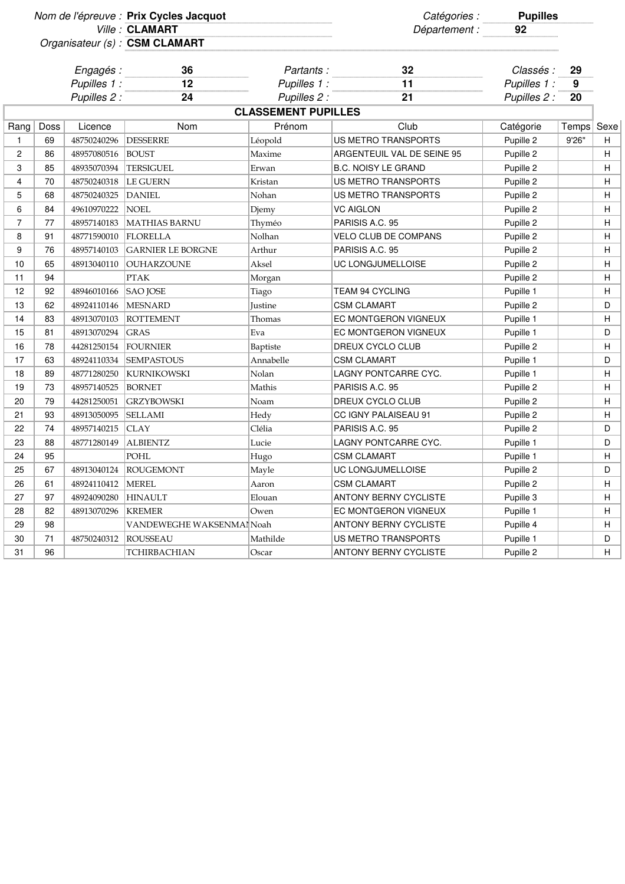|                                |      |              | Nom de l'épreuve : Prix Cycles Jacquot |                            | Catégories :                 | <b>Pupilles</b> |       |      |
|--------------------------------|------|--------------|----------------------------------------|----------------------------|------------------------------|-----------------|-------|------|
| Organisateur (s) : CSM CLAMART |      |              | Ville: CLAMART                         |                            | Département :                | 92              |       |      |
|                                |      |              |                                        |                            |                              |                 |       |      |
|                                |      | Engagés :    | 36                                     | Partants:                  | 32                           | Classés :       | 29    |      |
|                                |      | Pupilles 1:  | 12                                     | Pupilles 1 :               | 11                           | Pupilles 1 :    | 9     |      |
|                                |      | Pupilles 2 : | 24                                     | Pupilles 2 :               | 21                           | Pupilles 2 :    | 20    |      |
|                                |      |              |                                        | <b>CLASSEMENT PUPILLES</b> |                              |                 |       |      |
| Rang                           | Doss | Licence      | Nom                                    | Prénom                     | Club                         | Catégorie       | Temps | Sexe |
| $\mathbf{1}$                   | 69   | 48750240296  | <b>DESSERRE</b>                        | Léopold                    | US METRO TRANSPORTS          | Pupille 2       | 9'26" | H    |
| 2                              | 86   | 48957080516  | <b>BOUST</b>                           | Maxime                     | ARGENTEUIL VAL DE SEINE 95   | Pupille 2       |       | H    |
| 3                              | 85   | 48935070394  | <b>TERSIGUEL</b>                       | Erwan                      | <b>B.C. NOISY LE GRAND</b>   | Pupille 2       |       | H    |
| 4                              | 70   | 48750240318  | <b>LE GUERN</b>                        | Kristan                    | US METRO TRANSPORTS          | Pupille 2       |       | H    |
| 5                              | 68   | 48750240325  | <b>DANIEL</b>                          | Nohan                      | US METRO TRANSPORTS          | Pupille 2       |       | H    |
| 6                              | 84   | 49610970222  | <b>NOEL</b>                            | Djemy                      | <b>VC AIGLON</b>             | Pupille 2       |       | H    |
| $\overline{7}$                 | 77   | 48957140183  | <b>MATHIAS BARNU</b>                   | Thyméo                     | PARISIS A.C. 95              | Pupille 2       |       | H    |
| 8                              | 91   | 48771590010  | FLORELLA                               | Nolhan                     | <b>VELO CLUB DE COMPANS</b>  | Pupille 2       |       | H    |
| 9                              | 76   | 48957140103  | <b>GARNIER LE BORGNE</b>               | Arthur                     | PARISIS A.C. 95              | Pupille 2       |       | H    |
| 10                             | 65   | 48913040110  | OUHARZOUNE                             | Aksel                      | UC LONGJUMELLOISE            | Pupille 2       |       | H    |
| 11                             | 94   |              | <b>PTAK</b>                            | Morgan                     |                              | Pupille 2       |       | H    |
| 12                             | 92   | 48946010166  | <b>SAO JOSE</b>                        | Tiago                      | <b>TEAM 94 CYCLING</b>       | Pupille 1       |       | H    |
| 13                             | 62   | 48924110146  | <b>MESNARD</b>                         | <b>Iustine</b>             | <b>CSM CLAMART</b>           | Pupille 2       |       | D    |
| 14                             | 83   | 48913070103  | <b>ROTTEMENT</b>                       | Thomas                     | <b>EC MONTGERON VIGNEUX</b>  | Pupille 1       |       | H    |
| 15                             | 81   | 48913070294  | <b>GRAS</b>                            | Eva                        | EC MONTGERON VIGNEUX         | Pupille 1       |       | D    |
| 16                             | 78   | 44281250154  | <b>FOURNIER</b>                        | Baptiste                   | DREUX CYCLO CLUB             | Pupille 2       |       | H    |
| 17                             | 63   | 48924110334  | <b>SEMPASTOUS</b>                      | Annabelle                  | <b>CSM CLAMART</b>           | Pupille 1       |       | D    |
| 18                             | 89   | 48771280250  | <b>KURNIKOWSKI</b>                     | Nolan                      | LAGNY PONTCARRE CYC.         | Pupille 1       |       | H    |
| 19                             | 73   | 48957140525  | <b>BORNET</b>                          | Mathis                     | PARISIS A.C. 95              | Pupille 2       |       | H    |
| 20                             | 79   | 44281250051  | <b>GRZYBOWSKI</b>                      | Noam                       | DREUX CYCLO CLUB             | Pupille 2       |       | H    |
| 21                             | 93   | 48913050095  | <b>SELLAMI</b>                         | Hedy                       | CC IGNY PALAISEAU 91         | Pupille 2       |       | H    |
| 22                             | 74   | 48957140215  | CLAY                                   | Clélia                     | PARISIS A.C. 95              | Pupille 2       |       | D    |
| 23                             | 88   | 48771280149  | <b>ALBIENTZ</b>                        | Lucie                      | LAGNY PONTCARRE CYC.         | Pupille 1       |       | D    |
| 24                             | 95   |              | POHL                                   | Hugo                       | <b>CSM CLAMART</b>           | Pupille 1       |       | H    |
| 25                             | 67   | 48913040124  | <b>ROUGEMONT</b>                       | Mayle                      | <b>UC LONGJUMELLOISE</b>     | Pupille 2       |       | D    |
| 26                             | 61   | 48924110412  | <b>MEREL</b>                           | Aaron                      | <b>CSM CLAMART</b>           | Pupille 2       |       | H    |
| 27                             | 97   | 48924090280  | <b>HINAULT</b>                         | Elouan                     | <b>ANTONY BERNY CYCLISTE</b> | Pupille 3       |       | H    |
| 28                             | 82   | 48913070296  | <b>KREMER</b>                          | Owen                       | EC MONTGERON VIGNEUX         | Pupille 1       |       | H    |
| 29                             | 98   |              | VANDEWEGHE WAKSENMAI Noah              |                            | <b>ANTONY BERNY CYCLISTE</b> | Pupille 4       |       | H    |
| 30                             | 71   | 48750240312  | ROUSSEAU                               | Mathilde                   | US METRO TRANSPORTS          | Pupille 1       |       | D    |
| 31                             | 96   |              | TCHIRBACHIAN                           | Oscar                      | ANTONY BERNY CYCLISTE        | Pupille 2       |       | H    |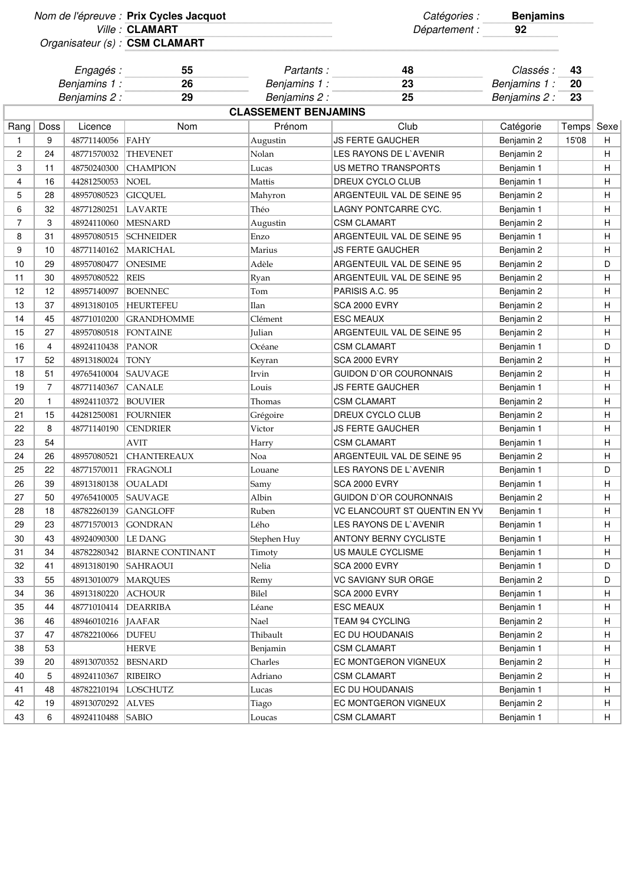|                |                             |              | Nom de l'épreuve : Prix Cycles Jacquot<br>Ville: CLAMART |                           | Catégories :<br>Département : | <b>Benjamins</b>          |          |      |  |
|----------------|-----------------------------|--------------|----------------------------------------------------------|---------------------------|-------------------------------|---------------------------|----------|------|--|
|                |                             |              | Organisateur (s) : CSM CLAMART                           |                           |                               |                           |          |      |  |
|                | Engagés :<br>Benjamins 1:   |              | 55<br>26                                                 | Partants:<br>Benjamins 1: | 48<br>23                      | Classés :<br>Benjamins 1: | 43<br>20 |      |  |
|                |                             | Benjamins 2: | 29                                                       | Benjamins 2:              | 25                            | Benjamins 2:              | 23       |      |  |
|                | <b>CLASSEMENT BENJAMINS</b> |              |                                                          |                           |                               |                           |          |      |  |
| Rang           | Doss                        | Licence      | Nom                                                      | Prénom                    | Club                          | Catégorie                 | Temps    | Sexe |  |
| 1              | 9                           | 48771140056  | FAHY                                                     | Augustin                  | <b>JS FERTE GAUCHER</b>       | Benjamin 2                | 15'08    | н    |  |
| 2              | 24                          | 48771570032  | <b>THEVENET</b>                                          | Nolan                     | LES RAYONS DE L'AVENIR        | Benjamin 2                |          | н    |  |
| 3              | 11                          | 48750240300  | <b>CHAMPION</b>                                          | Lucas                     | US METRO TRANSPORTS           | Benjamin 1                |          | н    |  |
| 4              | 16                          | 44281250053  | <b>NOEL</b>                                              | Mattis                    | DREUX CYCLO CLUB              | Benjamin 1                |          | H.   |  |
| 5              | 28                          | 48957080523  | <b>GICQUEL</b>                                           | Mahyron                   | ARGENTEUIL VAL DE SEINE 95    | Benjamin 2                |          | н    |  |
| 6              | 32                          | 48771280251  | <b>LAVARTE</b>                                           | Théo                      | LAGNY PONTCARRE CYC.          | Benjamin 1                |          | Н    |  |
| $\overline{7}$ | 3                           | 48924110060  | <b>MESNARD</b>                                           | Augustin                  | <b>CSM CLAMART</b>            | Benjamin 2                |          | н    |  |
| 8              | 31                          | 48957080515  | <b>SCHNEIDER</b>                                         | Enzo                      | ARGENTEUIL VAL DE SEINE 95    | Benjamin 1                |          | H.   |  |
| 9              | 10                          | 48771140162  | <b>MARICHAL</b>                                          | Marius                    | <b>JS FERTE GAUCHER</b>       | Benjamin 2                |          | н    |  |
| 10             | 29                          | 48957080477  | <b>ONESIME</b>                                           | Adèle                     | ARGENTEUIL VAL DE SEINE 95    | Benjamin 2                |          | D    |  |
| 11             | 30                          | 48957080522  | <b>REIS</b>                                              | Ryan                      | ARGENTEUIL VAL DE SEINE 95    | Benjamin 2                |          | н    |  |
| 12             | 12                          | 48957140097  | <b>BOENNEC</b>                                           | Tom                       | PARISIS A.C. 95               | Benjamin 2                |          | Н    |  |
| 13             | 37                          | 48913180105  | <b>HEURTEFEU</b>                                         | Ilan                      | <b>SCA 2000 EVRY</b>          | Benjamin 2                |          | н    |  |
| 14             | 45                          | 48771010200  | <b>GRANDHOMME</b>                                        | Clément                   | <b>ESC MEAUX</b>              | Benjamin 2                |          | H.   |  |
| 15             | 27                          | 48957080518  | FONTAINE                                                 | Julian                    | ARGENTEUIL VAL DE SEINE 95    | Benjamin 2                |          | H.   |  |
| 16             | 4                           | 48924110438  | <b>PANOR</b>                                             | Océane                    | <b>CSM CLAMART</b>            | Benjamin 1                |          | D    |  |
| 17             | 52                          | 48913180024  | <b>TONY</b>                                              | Keyran                    | SCA 2000 EVRY                 | Benjamin 2                |          | Н    |  |
| 18             | 51                          | 49765410004  | <b>SAUVAGE</b>                                           | Irvin                     | <b>GUIDON D'OR COURONNAIS</b> | Benjamin 2                |          | Н    |  |
| 19             | 7                           | 48771140367  | <b>CANALE</b>                                            | Louis                     | JS FERTE GAUCHER              | Benjamin 1                |          | H.   |  |
| 20             | 1                           | 48924110372  | <b>BOUVIER</b>                                           | Thomas                    | <b>CSM CLAMART</b>            | Benjamin 2                |          | н    |  |
| 21             | 15                          | 44281250081  | <b>FOURNIER</b>                                          | Grégoire                  | DREUX CYCLO CLUB              | Benjamin 2                |          | н    |  |
| 22             | 8                           | 48771140190  | <b>CENDRIER</b>                                          | Victor                    | <b>JS FERTE GAUCHER</b>       | Benjamin 1                |          | н    |  |
| 23             | 54                          |              | AVIT                                                     | Harry                     | <b>CSM CLAMART</b>            | Benjamin 1                |          | Н    |  |
| 24             | 26                          | 48957080521  | <b>CHANTEREAUX</b>                                       | Noa                       | ARGENTEUIL VAL DE SEINE 95    | Benjamin 2                |          | н    |  |
| 25             | 22                          | 48771570011  | FRAGNOLI                                                 | Louane                    | LES RAYONS DE L'AVENIR        | Benjamin 1                |          | D    |  |
| 26             | 39                          | 48913180138  | <b>OUALADI</b>                                           | Samy                      | <b>SCA 2000 EVRY</b>          | Benjamin 1                |          | H    |  |
| 27             | 50                          | 49765410005  | <b>SAUVAGE</b>                                           | Albin                     | GUIDON D'OR COURONNAIS        | Benjamin 2                |          | Н.   |  |
| 28             | 18                          | 48782260139  | <b>GANGLOFF</b>                                          | Ruben                     | VC ELANCOURT ST QUENTIN EN YV | Benjamin 1                |          | Н.   |  |
| 29             | 23                          | 48771570013  | <b>GONDRAN</b>                                           | Lého                      | LES RAYONS DE L'AVENIR        | Benjamin 1                |          | Н.   |  |
| 30             | 43                          | 48924090300  | LE DANG                                                  | Stephen Huy               | <b>ANTONY BERNY CYCLISTE</b>  | Benjamin 1                |          | H    |  |
| 31             | 34                          | 48782280342  | <b>BIARNE CONTINANT</b>                                  | Timoty                    | US MAULE CYCLISME             | Benjamin 1                |          | Н.   |  |
| 32             | 41                          | 48913180190  | <b>SAHRAOUI</b>                                          | Nelia                     | SCA 2000 EVRY                 | Benjamin 1                |          | D    |  |
| 33             | 55                          | 48913010079  | <b>MARQUES</b>                                           | Remy                      | VC SAVIGNY SUR ORGE           | Benjamin 2                |          | D    |  |
| 34             | 36                          | 48913180220  | <b>ACHOUR</b>                                            | <b>Bilel</b>              | <b>SCA 2000 EVRY</b>          | Benjamin 1                |          | H    |  |
| 35             | 44                          | 48771010414  | DEARRIBA                                                 | Léane                     | <b>ESC MEAUX</b>              | Benjamin 1                |          | Н.   |  |
| 36             | 46                          | 48946010216  | JAAFAR                                                   | Nael                      | TEAM 94 CYCLING               | Benjamin 2                |          | H    |  |
| 37             | 47                          | 48782210066  | <b>DUFEU</b>                                             | Thibault                  | EC DU HOUDANAIS               | Benjamin 2                |          | H    |  |
| 38             | 53                          |              | <b>HERVE</b>                                             | Benjamin                  | <b>CSM CLAMART</b>            | Benjamin 1                |          | Н.   |  |
| 39             | 20                          | 48913070352  | <b>BESNARD</b>                                           | Charles                   | EC MONTGERON VIGNEUX          | Benjamin 2                |          | H.   |  |
| 40             | 5                           | 48924110367  | <b>RIBEIRO</b>                                           | Adriano                   | <b>CSM CLAMART</b>            | Benjamin 2                |          | H    |  |
| 41             | 48                          | 48782210194  | LOSCHUTZ                                                 | Lucas                     | EC DU HOUDANAIS               | Benjamin 1                |          | H.   |  |
| 42             | 19                          | 48913070292  | <b>ALVES</b>                                             | Tiago                     | EC MONTGERON VIGNEUX          | Benjamin 2                |          | H.   |  |
| 43             | 6                           | 48924110488  | <b>SABIO</b>                                             | Loucas                    | <b>CSM CLAMART</b>            | Benjamin 1                |          | H.   |  |